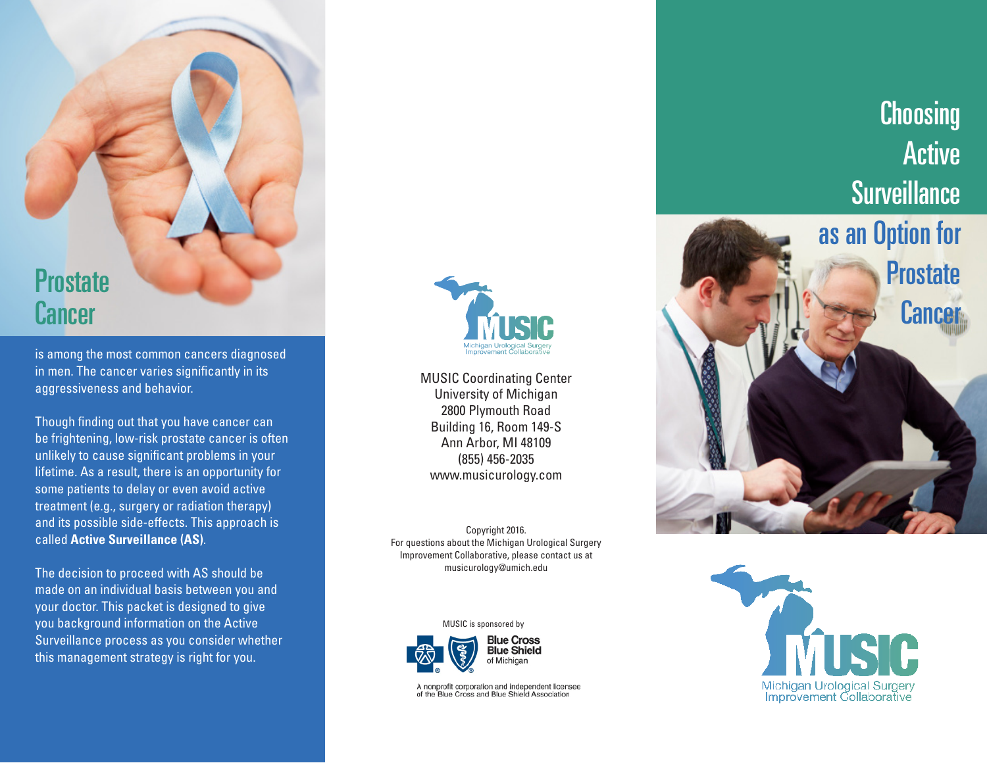# **Prostate Cancer**

is among the most common cancers diagnosed in men. The cancer varies significantly in its aggressiveness and behavior.

Though finding out that you have cancer can be frightening, low-risk prostate cancer is often unlikely to cause significant problems in your lifetime. As a result, there is an opportunity for some patients to delay or even avoid active treatment (e.g., surgery or radiation therapy) and its possible side-effects. This approach is called **Active Surveillance (AS)**.

The decision to proceed with AS should be made on an individual basis between you and your doctor. This packet is designed to give you background information on the Active Surveillance process as you consider whether this management strategy is right for you.



MUSIC Coordinating Center University of Michigan 2800 Plymouth Road Building 16, Room 149-S Ann Arbor, MI 48109 (855) 456-2035 www.musicurology.com

Copyright 2016. For questions about the Michigan Urological Surgery Improvement Collaborative, please contact us at musicurology@umich.edu





A nonprofit corporation and independent licensee of the Blue Cross and Blue Shield Association